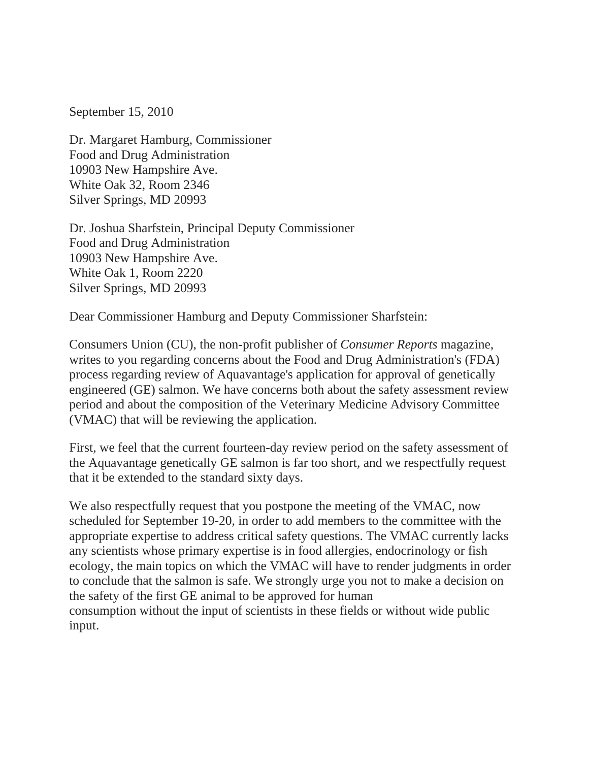September 15, 2010

Dr. Margaret Hamburg, Commissioner Food and Drug Administration 10903 New Hampshire Ave. White Oak 32, Room 2346 Silver Springs, MD 20993

Dr. Joshua Sharfstein, Principal Deputy Commissioner Food and Drug Administration 10903 New Hampshire Ave. White Oak 1, Room 2220 Silver Springs, MD 20993

Dear Commissioner Hamburg and Deputy Commissioner Sharfstein:

Consumers Union (CU), the non-profit publisher of *Consumer Reports* magazine, writes to you regarding concerns about the Food and Drug Administration's (FDA) process regarding review of Aquavantage's application for approval of genetically engineered (GE) salmon. We have concerns both about the safety assessment review period and about the composition of the Veterinary Medicine Advisory Committee (VMAC) that will be reviewing the application.

First, we feel that the current fourteen-day review period on the safety assessment of the Aquavantage genetically GE salmon is far too short, and we respectfully request that it be extended to the standard sixty days.

We also respectfully request that you postpone the meeting of the VMAC, now scheduled for September 19-20, in order to add members to the committee with the appropriate expertise to address critical safety questions. The VMAC currently lacks any scientists whose primary expertise is in food allergies, endocrinology or fish ecology, the main topics on which the VMAC will have to render judgments in order to conclude that the salmon is safe. We strongly urge you not to make a decision on the safety of the first GE animal to be approved for human consumption without the input of scientists in these fields or without wide public input.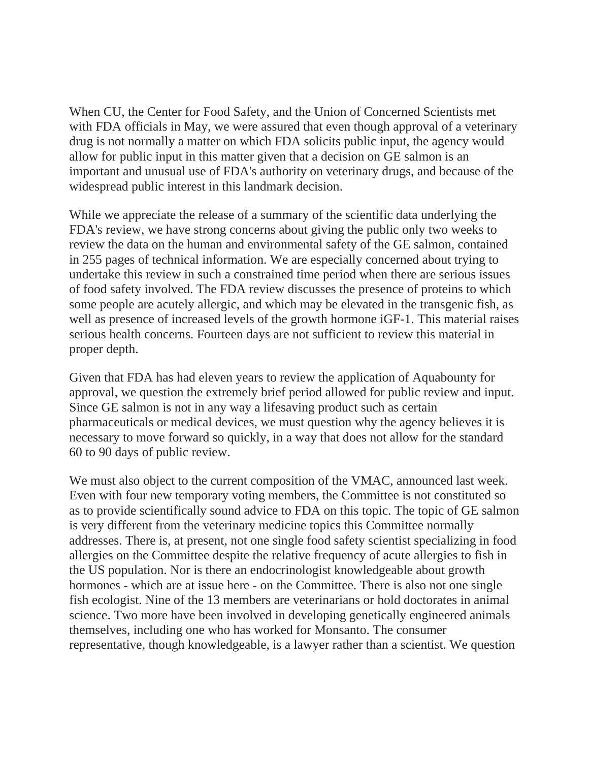When CU, the Center for Food Safety, and the Union of Concerned Scientists met with FDA officials in May, we were assured that even though approval of a veterinary drug is not normally a matter on which FDA solicits public input, the agency would allow for public input in this matter given that a decision on GE salmon is an important and unusual use of FDA's authority on veterinary drugs, and because of the widespread public interest in this landmark decision.

While we appreciate the release of a summary of the scientific data underlying the FDA's review, we have strong concerns about giving the public only two weeks to review the data on the human and environmental safety of the GE salmon, contained in 255 pages of technical information. We are especially concerned about trying to undertake this review in such a constrained time period when there are serious issues of food safety involved. The FDA review discusses the presence of proteins to which some people are acutely allergic, and which may be elevated in the transgenic fish, as well as presence of increased levels of the growth hormone iGF-1. This material raises serious health concerns. Fourteen days are not sufficient to review this material in proper depth.

Given that FDA has had eleven years to review the application of Aquabounty for approval, we question the extremely brief period allowed for public review and input. Since GE salmon is not in any way a lifesaving product such as certain pharmaceuticals or medical devices, we must question why the agency believes it is necessary to move forward so quickly, in a way that does not allow for the standard 60 to 90 days of public review.

We must also object to the current composition of the VMAC, announced last week. Even with four new temporary voting members, the Committee is not constituted so as to provide scientifically sound advice to FDA on this topic. The topic of GE salmon is very different from the veterinary medicine topics this Committee normally addresses. There is, at present, not one single food safety scientist specializing in food allergies on the Committee despite the relative frequency of acute allergies to fish in the US population. Nor is there an endocrinologist knowledgeable about growth hormones - which are at issue here - on the Committee. There is also not one single fish ecologist. Nine of the 13 members are veterinarians or hold doctorates in animal science. Two more have been involved in developing genetically engineered animals themselves, including one who has worked for Monsanto. The consumer representative, though knowledgeable, is a lawyer rather than a scientist. We question